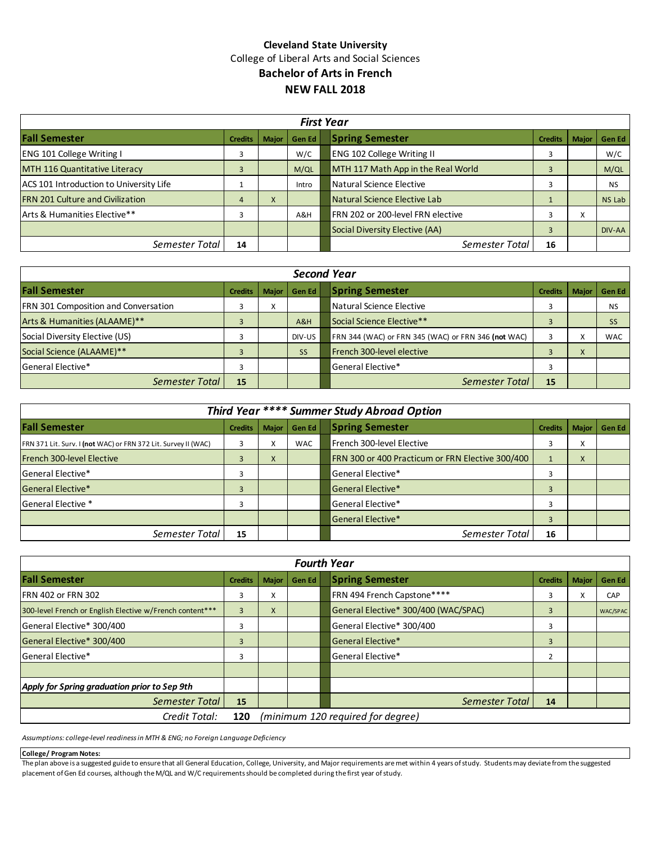## **Cleveland State University** College of Liberal Arts and Social Sciences **Bachelor of Arts in French NEW FALL 2018**

| <b>First Year</b>                       |                |              |        |                                                          |               |  |  |  |  |  |
|-----------------------------------------|----------------|--------------|--------|----------------------------------------------------------|---------------|--|--|--|--|--|
| <b>Fall Semester</b>                    | <b>Credits</b> | <b>Maior</b> | Gen Ed | <b>Spring Semester</b><br><b>Major</b><br><b>Credits</b> | <b>Gen Ed</b> |  |  |  |  |  |
| <b>ENG 101 College Writing I</b>        |                |              | W/C    | <b>ENG 102 College Writing II</b>                        | W/C           |  |  |  |  |  |
| MTH 116 Quantitative Literacy           |                |              | M/QL   | MTH 117 Math App in the Real World                       | M/QL          |  |  |  |  |  |
| ACS 101 Introduction to University Life |                |              | Intro  | Natural Science Elective                                 | <b>NS</b>     |  |  |  |  |  |
| <b>FRN 201 Culture and Civilization</b> |                | X            |        | Natural Science Elective Lab                             | <b>NS Lab</b> |  |  |  |  |  |
| <b>Arts &amp; Humanities Elective**</b> |                |              | A&H    | FRN 202 or 200-level FRN elective<br>X                   |               |  |  |  |  |  |
|                                         |                |              |        | Social Diversity Elective (AA)                           | DIV-AA        |  |  |  |  |  |
| Semester Total                          | 14             |              |        | Semester Total<br>16                                     |               |  |  |  |  |  |

| <b>Second Year</b>                          |                |                   |           |                                                          |            |  |  |  |  |  |
|---------------------------------------------|----------------|-------------------|-----------|----------------------------------------------------------|------------|--|--|--|--|--|
| <b>Fall Semester</b>                        | <b>Credits</b> | <b>Major</b>      | Gen Ed    | <b>Spring Semester</b><br><b>Credits</b><br><b>Major</b> | Gen Ed     |  |  |  |  |  |
| <b>FRN 301 Composition and Conversation</b> |                | $\mathbf{v}$<br>v |           | Natural Science Elective                                 | <b>NS</b>  |  |  |  |  |  |
| Arts & Humanities (ALAAME)**                |                |                   | A&H       | Social Science Elective**                                | <b>SS</b>  |  |  |  |  |  |
| Social Diversity Elective (US)              |                |                   | DIV-US    | FRN 344 (WAC) or FRN 345 (WAC) or FRN 346 (not WAC)      | <b>WAC</b> |  |  |  |  |  |
| Social Science (ALAAME)**                   |                |                   | <b>SS</b> | French 300-level elective<br>X                           |            |  |  |  |  |  |
| <b>General Elective*</b>                    |                |                   |           | General Elective*                                        |            |  |  |  |  |  |
| Semester Total                              | 15             |                   |           | Semester Total<br>15                                     |            |  |  |  |  |  |

| Third Year **** Summer Study Abroad Option                     |                |                    |            |  |                                                  |                |                     |        |  |
|----------------------------------------------------------------|----------------|--------------------|------------|--|--------------------------------------------------|----------------|---------------------|--------|--|
| <b>Fall Semester</b>                                           | <b>Credits</b> | <b>Major</b>       | Gen Ed     |  | <b>Spring Semester</b>                           | <b>Credits</b> | <b>Major</b>        | Gen Ed |  |
| FRN 371 Lit. Surv. I (not WAC) or FRN 372 Lit. Survey II (WAC) |                | $\lambda$          | <b>WAC</b> |  | French 300-level Elective                        |                | ⌒                   |        |  |
| French 300-level Elective                                      |                | $\mathbf{v}$<br>v. |            |  | FRN 300 or 400 Practicum or FRN Elective 300/400 |                | $\lambda$<br>$\sim$ |        |  |
| <b>General Elective*</b>                                       | 3              |                    |            |  | General Elective*                                |                |                     |        |  |
| General Elective*                                              |                |                    |            |  | <b>Seneral Elective*</b>                         |                |                     |        |  |
| <b>General Elective *</b>                                      | З              |                    |            |  | General Elective*                                |                |                     |        |  |
|                                                                |                |                    |            |  | General Elective*                                | 3              |                     |        |  |
| Semester Total                                                 | 15             |                    |            |  | Semester Total                                   | 16             |                     |        |  |

| <b>Fourth Year</b>                                       |                |                                   |              |  |                                      |                |              |            |  |
|----------------------------------------------------------|----------------|-----------------------------------|--------------|--|--------------------------------------|----------------|--------------|------------|--|
| <b>Fall Semester</b>                                     | <b>Credits</b> | <b>Major</b>                      | <b>GenEd</b> |  | <b>Spring Semester</b>               | <b>Credits</b> | <b>Major</b> | Gen Ed     |  |
| <b>IFRN 402 or FRN 302</b>                               | 3              | Χ                                 |              |  | FRN 494 French Capstone****          | 3              |              | <b>CAP</b> |  |
| 300-level French or English Elective w/French content*** | 3              | X                                 |              |  | General Elective* 300/400 (WAC/SPAC) | 3              |              | WAC/SPAC   |  |
| General Elective* 300/400                                | 3              |                                   |              |  | General Elective* 300/400            | 3              |              |            |  |
| General Elective* 300/400                                | 3              |                                   |              |  | General Elective*                    | 3              |              |            |  |
| General Elective*                                        | 3              |                                   |              |  | General Elective*                    |                |              |            |  |
|                                                          |                |                                   |              |  |                                      |                |              |            |  |
| Apply for Spring graduation prior to Sep 9th             |                |                                   |              |  |                                      |                |              |            |  |
| Semester Total                                           | 15             |                                   |              |  | Semester Total                       | 14             |              |            |  |
| Credit Total:                                            | 120            | (minimum 120 required for degree) |              |  |                                      |                |              |            |  |

*Assumptions: college-level readiness in MTH & ENG; no Foreign Language Deficiency*

### **College/ Program Notes:**

The plan above is a suggested guide to ensure that all General Education, College, University, and Major requirements are met within 4 years of study. Students may deviate from the suggested placement of Gen Ed courses, although the M/QL and W/C requirements should be completed during the first year of study.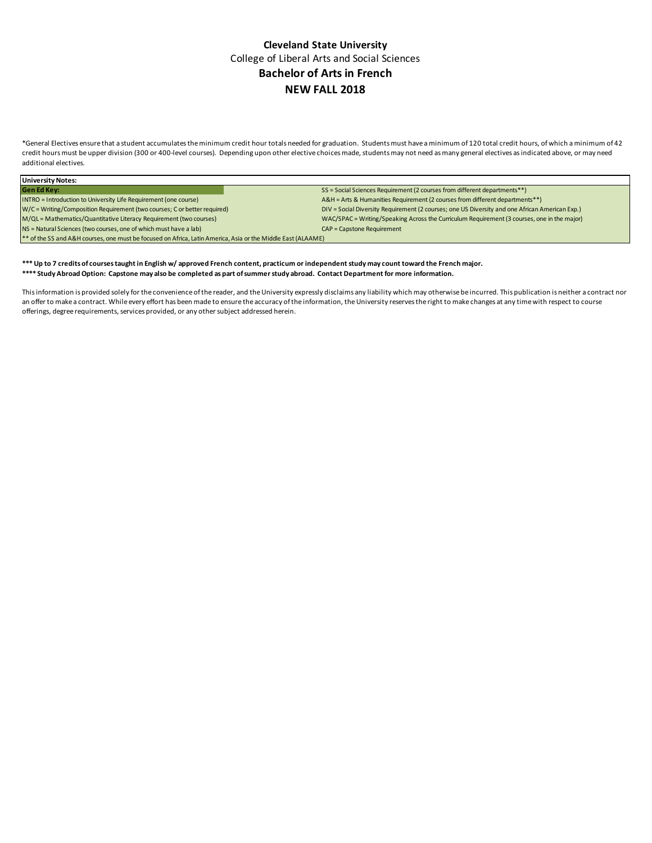## **Cleveland State University** College of Liberal Arts and Social Sciences **Bachelor of Arts in French NEW FALL 2018**

\*General Electives ensure that a student accumulates the minimum credit hour totals needed for graduation. Students must have a minimum of 120 total credit hours, of which a minimum of 42 credit hours must be upper division (300 or 400-level courses). Depending upon other elective choices made, students may not need as many general electives as indicated above, or may need additional electives.

| <b>University Notes:</b>                                                                                     |                                                                                                |  |  |  |  |  |  |
|--------------------------------------------------------------------------------------------------------------|------------------------------------------------------------------------------------------------|--|--|--|--|--|--|
| <b>Gen Ed Key:</b>                                                                                           | SS = Social Sciences Requirement (2 courses from different departments**)                      |  |  |  |  |  |  |
| INTRO = Introduction to University Life Requirement (one course)                                             | A&H = Arts & Humanities Requirement (2 courses from different departments**)                   |  |  |  |  |  |  |
| W/C = Writing/Composition Requirement (two courses; C or better required)                                    | DIV = Social Diversity Requirement (2 courses; one US Diversity and one African American Exp.) |  |  |  |  |  |  |
| M/QL = Mathematics/Quantitative Literacy Requirement (two courses)                                           | WAC/SPAC = Writing/Speaking Across the Curriculum Requirement (3 courses, one in the major)    |  |  |  |  |  |  |
| NS = Natural Sciences (two courses, one of which must have a lab)                                            | <b>CAP = Capstone Requirement</b>                                                              |  |  |  |  |  |  |
| ** of the SS and A&H courses, one must be focused on Africa, Latin America, Asia or the Middle East (ALAAME) |                                                                                                |  |  |  |  |  |  |

#### **\*\*\* Up to 7 credits of courses taught in English w/ approved French content, practicum or independent study may count toward the French major. \*\*\*\* Study Abroad Option: Capstone may also be completed as part of summer study abroad. Contact Department for more information.**

This information is provided solely for the convenience of the reader, and the University expressly disclaims any liability which may otherwise be incurred. This publication is neither a contract nor an offer to make a contract. While every effort has been made to ensure the accuracy of the information, the University reserves the right to make changes at any time with respect to course offerings, degree requirements, services provided, or any other subject addressed herein.